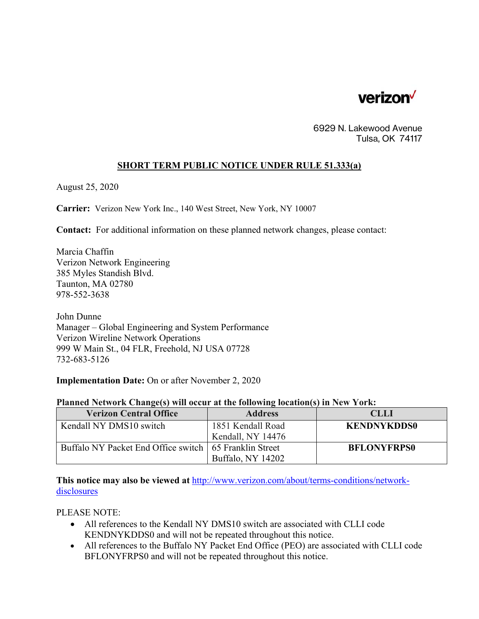

6929 N. Lakewood Avenue Tulsa, OK 74117

## **SHORT TERM PUBLIC NOTICE UNDER RULE 51.333(a)**

August 25, 2020

**Carrier:** Verizon New York Inc., 140 West Street, New York, NY 10007

**Contact:** For additional information on these planned network changes, please contact:

Marcia Chaffin Verizon Network Engineering 385 Myles Standish Blvd. Taunton, MA 02780 978-552-3638

John Dunne Manager – Global Engineering and System Performance Verizon Wireline Network Operations 999 W Main St., 04 FLR, Freehold, NJ USA 07728 732-683-5126

**Implementation Date:** On or after November 2, 2020

| Planned Network Change(s) will occur at the following location(s) in New York: |  |  |  |  |
|--------------------------------------------------------------------------------|--|--|--|--|
|                                                                                |  |  |  |  |

| <b>Verizon Central Office</b>                            | <b>Address</b>    | <b>CLLI</b>        |
|----------------------------------------------------------|-------------------|--------------------|
| Kendall NY DMS10 switch                                  | 1851 Kendall Road | <b>KENDNYKDDS0</b> |
|                                                          | Kendall, NY 14476 |                    |
| Buffalo NY Packet End Office switch   65 Franklin Street |                   | <b>BFLONYFRPS0</b> |
|                                                          | Buffalo, NY 14202 |                    |

**This notice may also be viewed at** http://www.verizon.com/about/terms-conditions/networkdisclosures

PLEASE NOTE:

- All references to the Kendall NY DMS10 switch are associated with CLLI code KENDNYKDDS0 and will not be repeated throughout this notice.
- All references to the Buffalo NY Packet End Office (PEO) are associated with CLLI code BFLONYFRPS0 and will not be repeated throughout this notice.